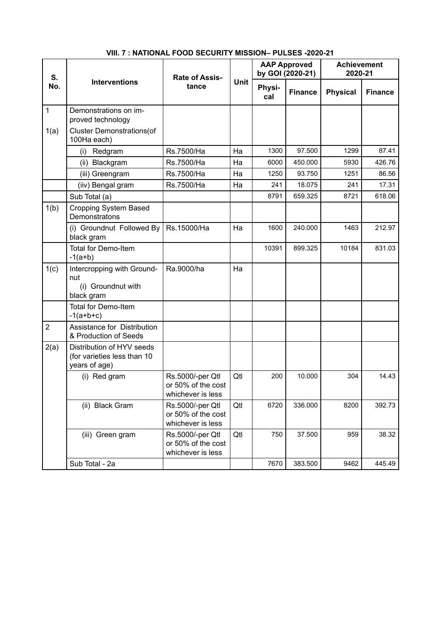| S.<br>No.      | <b>Interventions</b>                                                      | <b>Rate of Assis-</b><br>tance                              | <b>Unit</b> | <b>AAP Approved</b><br>by GOI (2020-21) |                | <b>Achievement</b><br>2020-21 |                |
|----------------|---------------------------------------------------------------------------|-------------------------------------------------------------|-------------|-----------------------------------------|----------------|-------------------------------|----------------|
|                |                                                                           |                                                             |             | Physi-<br>cal                           | <b>Finance</b> | <b>Physical</b>               | <b>Finance</b> |
| $\mathbf{1}$   | Demonstrations on im-<br>proved technology                                |                                                             |             |                                         |                |                               |                |
| 1(a)           | <b>Cluster Demonstrations(of</b><br>100Ha each)                           |                                                             |             |                                         |                |                               |                |
|                | Redgram<br>(i)                                                            | Rs.7500/Ha                                                  | Ha          | 1300                                    | 97.500         | 1299                          | 87.41          |
|                | (ii) Blackgram                                                            | Rs.7500/Ha                                                  | Ha          | 6000                                    | 450.000        | 5930                          | 426.76         |
|                | (iii) Greengram                                                           | Rs.7500/Ha                                                  | Ha          | 1250                                    | 93.750         | 1251                          | 86.56          |
|                | (iiv) Bengal gram                                                         | Rs.7500/Ha                                                  | Ha          | 241                                     | 18.075         | 241                           | 17.31          |
|                | Sub Total (a)                                                             |                                                             |             | 8791                                    | 659.325        | 8721                          | 618.06         |
| 1(b)           | <b>Cropping System Based</b><br>Demonstratons                             |                                                             |             |                                         |                |                               |                |
|                | (i) Groundnut Followed By<br>black gram                                   | Rs.15000/Ha                                                 | Ha          | 1600                                    | 240.000        | 1463                          | 212.97         |
|                | <b>Total for Demo-Item</b><br>$-1(a+b)$                                   |                                                             |             | 10391                                   | 899.325        | 10184                         | 831.03         |
| 1(c)           | Intercropping with Ground-<br>nut<br>(i) Groundnut with<br>black gram     | Ra.9000/ha                                                  | Ha          |                                         |                |                               |                |
|                | <b>Total for Demo-Item</b><br>$-1(a+b+c)$                                 |                                                             |             |                                         |                |                               |                |
| $\overline{2}$ | Assistance for Distribution<br>& Production of Seeds                      |                                                             |             |                                         |                |                               |                |
| 2(a)           | Distribution of HYV seeds<br>(for varieties less than 10<br>years of age) |                                                             |             |                                         |                |                               |                |
|                | (i) Red gram                                                              | Rs.5000/-per Qtl<br>or 50% of the cost<br>whichever is less | Qtl         | 200                                     | 10.000         | 304                           | 14.43          |
|                | (ii) Black Gram                                                           | Rs.5000/-per Qtl<br>or 50% of the cost<br>whichever is less | Qtl         | 6720                                    | 336.000        | 8200                          | 392.73         |
|                | (iii) Green gram                                                          | Rs.5000/-per Qtl<br>or 50% of the cost<br>whichever is less | Qtl         | 750                                     | 37.500         | 959                           | 38.32          |
|                | Sub Total - 2a                                                            |                                                             |             | 7670                                    | 383.500        | 9462                          | 445.49         |

## **VIII. 7 : NATIONAL FOOD SECURITY MISSION– PULSES -2020-21**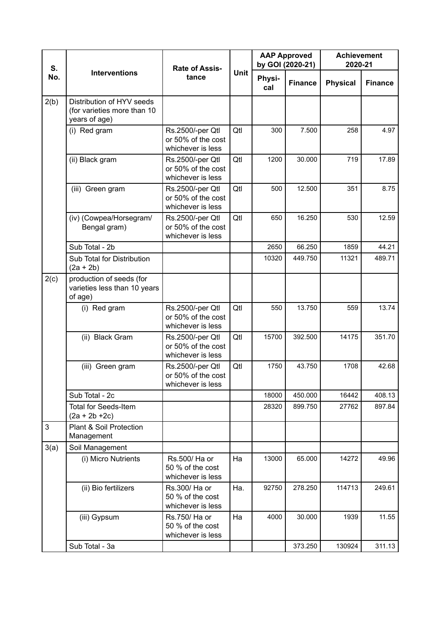| S.<br>No. | <b>Interventions</b>                                                      | <b>Rate of Assis-</b><br>tance                              | Unit | <b>AAP Approved</b><br>by GOI (2020-21) |                | <b>Achievement</b><br>2020-21 |                |
|-----------|---------------------------------------------------------------------------|-------------------------------------------------------------|------|-----------------------------------------|----------------|-------------------------------|----------------|
|           |                                                                           |                                                             |      | Physi-<br>cal                           | <b>Finance</b> | <b>Physical</b>               | <b>Finance</b> |
| 2(b)      | Distribution of HYV seeds<br>(for varieties more than 10<br>years of age) |                                                             |      |                                         |                |                               |                |
|           | (i) Red gram                                                              | Rs.2500/-per Qtl<br>or 50% of the cost<br>whichever is less | Qtl  | 300                                     | 7.500          | 258                           | 4.97           |
|           | (ii) Black gram                                                           | Rs.2500/-per Qtl<br>or 50% of the cost<br>whichever is less | Qtl  | 1200                                    | 30.000         | 719                           | 17.89          |
|           | (iii) Green gram                                                          | Rs.2500/-per Qtl<br>or 50% of the cost<br>whichever is less | Qtl  | 500                                     | 12.500         | 351                           | 8.75           |
|           | (iv) (Cowpea/Horsegram/<br>Bengal gram)                                   | Rs.2500/-per Qtl<br>or 50% of the cost<br>whichever is less | Qtl  | 650                                     | 16.250         | 530                           | 12.59          |
|           | Sub Total - 2b                                                            |                                                             |      | 2650                                    | 66.250         | 1859                          | 44.21          |
|           | Sub Total for Distribution<br>$(2a + 2b)$                                 |                                                             |      | 10320                                   | 449.750        | 11321                         | 489.71         |
| 2(c)      | production of seeds (for<br>varieties less than 10 years<br>of age)       |                                                             |      |                                         |                |                               |                |
|           | (i) Red gram                                                              | Rs.2500/-per Qtl<br>or 50% of the cost<br>whichever is less | Qtl  | 550                                     | 13.750         | 559                           | 13.74          |
|           | (ii) Black Gram                                                           | Rs.2500/-per Qtl<br>or 50% of the cost<br>whichever is less | Qtl  | 15700                                   | 392.500        | 14175                         | 351.70         |
|           | (iii) Green gram                                                          | Rs.2500/-per Qtl<br>or 50% of the cost<br>whichever is less | Qtl  | 1750                                    | 43.750         | 1708                          | 42.68          |
|           | Sub Total - 2c                                                            |                                                             |      | 18000                                   | 450.000        | 16442                         | 408.13         |
|           | <b>Total for Seeds-Item</b><br>$(2a + 2b + 2c)$                           |                                                             |      | 28320                                   | 899.750        | 27762                         | 897.84         |
| 3         | Plant & Soil Protection<br>Management                                     |                                                             |      |                                         |                |                               |                |
| 3(a)      | Soil Management                                                           |                                                             |      |                                         |                |                               |                |
|           | (i) Micro Nutrients                                                       | Rs.500/Ha or<br>50 % of the cost<br>whichever is less       | Ha   | 13000                                   | 65.000         | 14272                         | 49.96          |
|           | (ii) Bio fertilizers                                                      | Rs.300/ Ha or<br>50 % of the cost<br>whichever is less      | Ha.  | 92750                                   | 278.250        | 114713                        | 249.61         |
|           | (iii) Gypsum                                                              | Rs.750/ Ha or<br>50 % of the cost<br>whichever is less      | Ha   | 4000                                    | 30.000         | 1939                          | 11.55          |
|           | Sub Total - 3a                                                            |                                                             |      |                                         | 373.250        | 130924                        | 311.13         |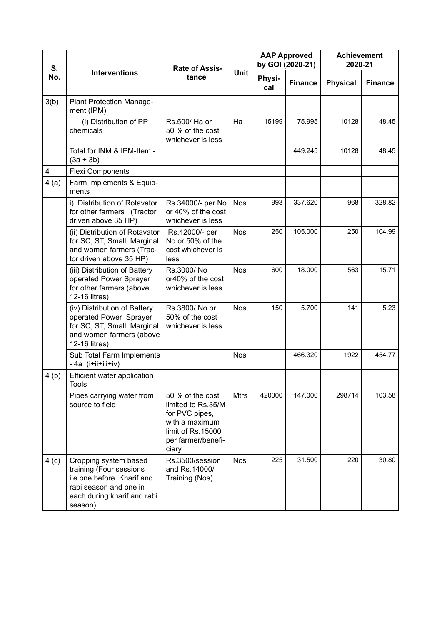| S.<br>No. | <b>Interventions</b>                                                                                                                              | <b>Rate of Assis-</b><br>tance                                                                                                 | Unit        | <b>AAP Approved</b><br>by GOI (2020-21) |                | <b>Achievement</b><br>2020-21 |                |
|-----------|---------------------------------------------------------------------------------------------------------------------------------------------------|--------------------------------------------------------------------------------------------------------------------------------|-------------|-----------------------------------------|----------------|-------------------------------|----------------|
|           |                                                                                                                                                   |                                                                                                                                |             | Physi-<br>cal                           | <b>Finance</b> | <b>Physical</b>               | <b>Finance</b> |
| 3(b)      | Plant Protection Manage-<br>ment (IPM)                                                                                                            |                                                                                                                                |             |                                         |                |                               |                |
|           | (i) Distribution of PP<br>chemicals                                                                                                               | Rs.500/ Ha or<br>50 % of the cost<br>whichever is less                                                                         | Ha          | 15199                                   | 75.995         | 10128                         | 48.45          |
|           | Total for INM & IPM-Item -<br>$(3a + 3b)$                                                                                                         |                                                                                                                                |             |                                         | 449.245        | 10128                         | 48.45          |
| 4         | <b>Flexi Components</b>                                                                                                                           |                                                                                                                                |             |                                         |                |                               |                |
| 4 (a)     | Farm Implements & Equip-<br>ments                                                                                                                 |                                                                                                                                |             |                                         |                |                               |                |
|           | i) Distribution of Rotavator<br>for other farmers (Tractor<br>driven above 35 HP)                                                                 | Rs.34000/- per No<br>or 40% of the cost<br>whichever is less                                                                   | <b>Nos</b>  | 993                                     | 337.620        | 968                           | 328.82         |
|           | (ii) Distribution of Rotavator<br>for SC, ST, Small, Marginal<br>and women farmers (Trac-<br>tor driven above 35 HP)                              | Rs.42000/- per<br>No or 50% of the<br>cost whichever is<br>less                                                                | <b>Nos</b>  | 250                                     | 105.000        | 250                           | 104.99         |
|           | (iii) Distribution of Battery<br>operated Power Sprayer<br>for other farmers (above<br>12-16 litres)                                              | Rs.3000/No<br>or40% of the cost<br>whichever is less                                                                           | <b>Nos</b>  | 600                                     | 18.000         | 563                           | 15.71          |
|           | (iv) Distribution of Battery<br>operated Power Sprayer<br>for SC, ST, Small, Marginal<br>and women farmers (above<br>12-16 litres)                | Rs.3800/No or<br>50% of the cost<br>whichever is less                                                                          | <b>Nos</b>  | 150                                     | 5.700          | 141                           | 5.23           |
|           | Sub Total Farm Implements<br>-4a (i+ii+iii+iv)                                                                                                    |                                                                                                                                | <b>Nos</b>  |                                         | 466.320        | 1922                          | 454.77         |
| 4(b)      | Efficient water application<br>Tools                                                                                                              |                                                                                                                                |             |                                         |                |                               |                |
|           | Pipes carrying water from<br>source to field                                                                                                      | 50 % of the cost<br>limited to Rs.35/M<br>for PVC pipes,<br>with a maximum<br>limit of Rs.15000<br>per farmer/benefi-<br>ciary | <b>Mtrs</b> | 420000                                  | 147.000        | 298714                        | 103.58         |
| 4 (c)     | Cropping system based<br>training (Four sessions<br>i.e one before Kharif and<br>rabi season and one in<br>each during kharif and rabi<br>season) | Rs.3500/session<br>and Rs.14000/<br>Training (Nos)                                                                             | <b>Nos</b>  | 225                                     | 31.500         | 220                           | 30.80          |